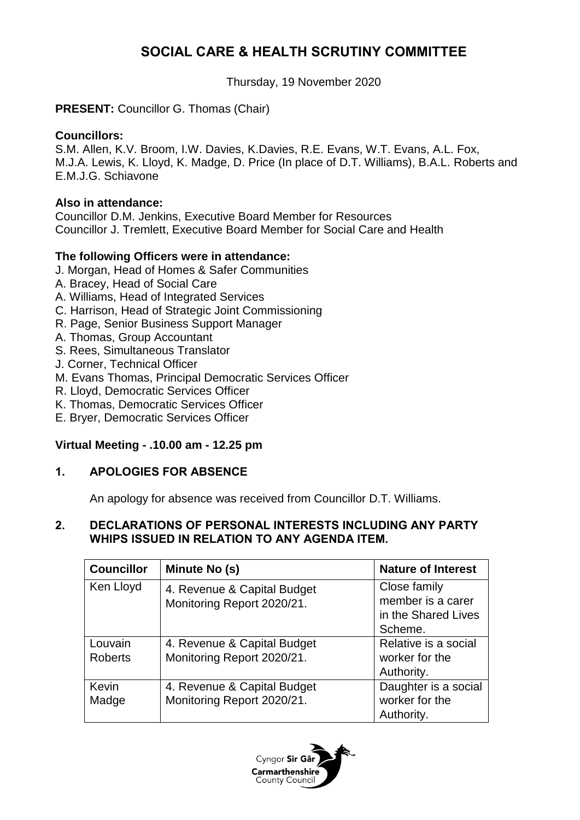# **SOCIAL CARE & HEALTH SCRUTINY COMMITTEE**

Thursday, 19 November 2020

# **PRESENT:** Councillor G. Thomas (Chair)

## **Councillors:**

S.M. Allen, K.V. Broom, I.W. Davies, K.Davies, R.E. Evans, W.T. Evans, A.L. Fox, M.J.A. Lewis, K. Lloyd, K. Madge, D. Price (In place of D.T. Williams), B.A.L. Roberts and E.M.J.G. Schiavone

## **Also in attendance:**

Councillor D.M. Jenkins, Executive Board Member for Resources Councillor J. Tremlett, Executive Board Member for Social Care and Health

#### **The following Officers were in attendance:**

- J. Morgan, Head of Homes & Safer Communities
- A. Bracey, Head of Social Care
- A. Williams, Head of Integrated Services
- C. Harrison, Head of Strategic Joint Commissioning
- R. Page, Senior Business Support Manager
- A. Thomas, Group Accountant
- S. Rees, Simultaneous Translator
- J. Corner, Technical Officer
- M. Evans Thomas, Principal Democratic Services Officer
- R. Lloyd, Democratic Services Officer
- K. Thomas, Democratic Services Officer
- E. Bryer, Democratic Services Officer

# **Virtual Meeting - .10.00 am - 12.25 pm**

# **1. APOLOGIES FOR ABSENCE**

An apology for absence was received from Councillor D.T. Williams.

# **2. DECLARATIONS OF PERSONAL INTERESTS INCLUDING ANY PARTY WHIPS ISSUED IN RELATION TO ANY AGENDA ITEM.**

| <b>Councillor</b>         | Minute No (s)                                             | <b>Nature of Interest</b>                                           |
|---------------------------|-----------------------------------------------------------|---------------------------------------------------------------------|
| Ken Lloyd                 | 4. Revenue & Capital Budget<br>Monitoring Report 2020/21. | Close family<br>member is a carer<br>in the Shared Lives<br>Scheme. |
| Louvain<br><b>Roberts</b> | 4. Revenue & Capital Budget<br>Monitoring Report 2020/21. | Relative is a social<br>worker for the<br>Authority.                |
| Kevin<br>Madge            | 4. Revenue & Capital Budget<br>Monitoring Report 2020/21. | Daughter is a social<br>worker for the<br>Authority.                |

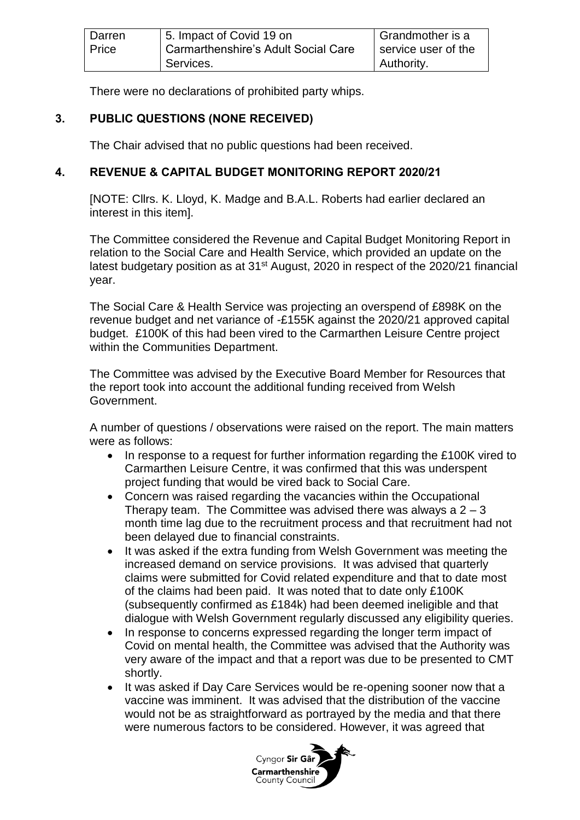| Darren | 5. Impact of Covid 19 on              | Grandmother is a    |
|--------|---------------------------------------|---------------------|
| Price  | I Carmarthenshire's Adult Social Care | service user of the |
|        | l Services.                           | Authority.          |

There were no declarations of prohibited party whips.

# **3. PUBLIC QUESTIONS (NONE RECEIVED)**

The Chair advised that no public questions had been received.

# **4. REVENUE & CAPITAL BUDGET MONITORING REPORT 2020/21**

[NOTE: Cllrs. K. Lloyd, K. Madge and B.A.L. Roberts had earlier declared an interest in this item].

The Committee considered the Revenue and Capital Budget Monitoring Report in relation to the Social Care and Health Service, which provided an update on the latest budgetary position as at  $31<sup>st</sup>$  August, 2020 in respect of the 2020/21 financial year.

The Social Care & Health Service was projecting an overspend of £898K on the revenue budget and net variance of -£155K against the 2020/21 approved capital budget. £100K of this had been vired to the Carmarthen Leisure Centre project within the Communities Department.

The Committee was advised by the Executive Board Member for Resources that the report took into account the additional funding received from Welsh Government.

A number of questions / observations were raised on the report. The main matters were as follows:

- In response to a request for further information regarding the £100K vired to Carmarthen Leisure Centre, it was confirmed that this was underspent project funding that would be vired back to Social Care.
- Concern was raised regarding the vacancies within the Occupational Therapy team. The Committee was advised there was always a  $2 - 3$ month time lag due to the recruitment process and that recruitment had not been delayed due to financial constraints.
- It was asked if the extra funding from Welsh Government was meeting the increased demand on service provisions. It was advised that quarterly claims were submitted for Covid related expenditure and that to date most of the claims had been paid. It was noted that to date only £100K (subsequently confirmed as £184k) had been deemed ineligible and that dialogue with Welsh Government regularly discussed any eligibility queries.
- In response to concerns expressed regarding the longer term impact of Covid on mental health, the Committee was advised that the Authority was very aware of the impact and that a report was due to be presented to CMT shortly.
- It was asked if Day Care Services would be re-opening sooner now that a vaccine was imminent. It was advised that the distribution of the vaccine would not be as straightforward as portrayed by the media and that there were numerous factors to be considered. However, it was agreed that

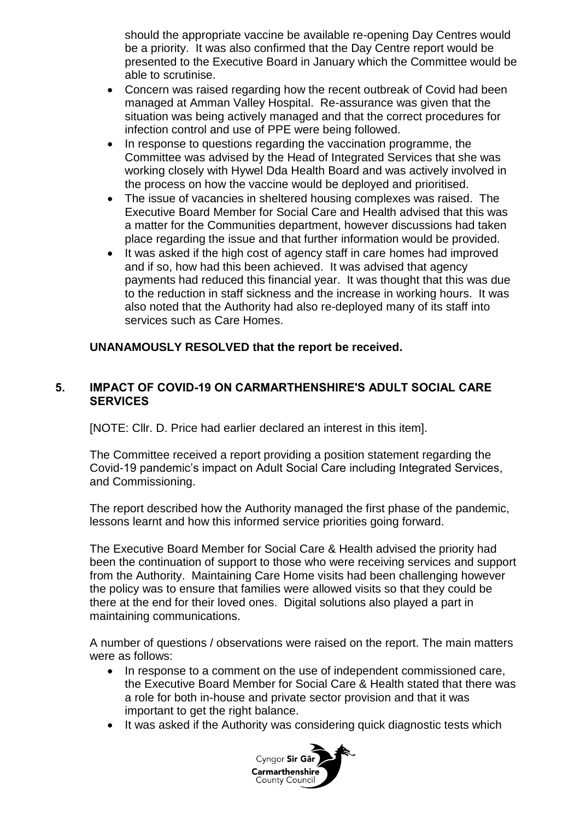should the appropriate vaccine be available re-opening Day Centres would be a priority. It was also confirmed that the Day Centre report would be presented to the Executive Board in January which the Committee would be able to scrutinise.

- Concern was raised regarding how the recent outbreak of Covid had been managed at Amman Valley Hospital. Re-assurance was given that the situation was being actively managed and that the correct procedures for infection control and use of PPE were being followed.
- In response to questions regarding the vaccination programme, the Committee was advised by the Head of Integrated Services that she was working closely with Hywel Dda Health Board and was actively involved in the process on how the vaccine would be deployed and prioritised.
- The issue of vacancies in sheltered housing complexes was raised. The Executive Board Member for Social Care and Health advised that this was a matter for the Communities department, however discussions had taken place regarding the issue and that further information would be provided.
- It was asked if the high cost of agency staff in care homes had improved and if so, how had this been achieved. It was advised that agency payments had reduced this financial year. It was thought that this was due to the reduction in staff sickness and the increase in working hours. It was also noted that the Authority had also re-deployed many of its staff into services such as Care Homes.

#### **UNANAMOUSLY RESOLVED that the report be received.**

## **5. IMPACT OF COVID-19 ON CARMARTHENSHIRE'S ADULT SOCIAL CARE SERVICES**

[NOTE: Cllr. D. Price had earlier declared an interest in this item].

The Committee received a report providing a position statement regarding the Covid-19 pandemic's impact on Adult Social Care including Integrated Services, and Commissioning.

The report described how the Authority managed the first phase of the pandemic, lessons learnt and how this informed service priorities going forward.

The Executive Board Member for Social Care & Health advised the priority had been the continuation of support to those who were receiving services and support from the Authority. Maintaining Care Home visits had been challenging however the policy was to ensure that families were allowed visits so that they could be there at the end for their loved ones. Digital solutions also played a part in maintaining communications.

A number of questions / observations were raised on the report. The main matters were as follows:

- In response to a comment on the use of independent commissioned care, the Executive Board Member for Social Care & Health stated that there was a role for both in-house and private sector provision and that it was important to get the right balance.
- It was asked if the Authority was considering quick diagnostic tests which

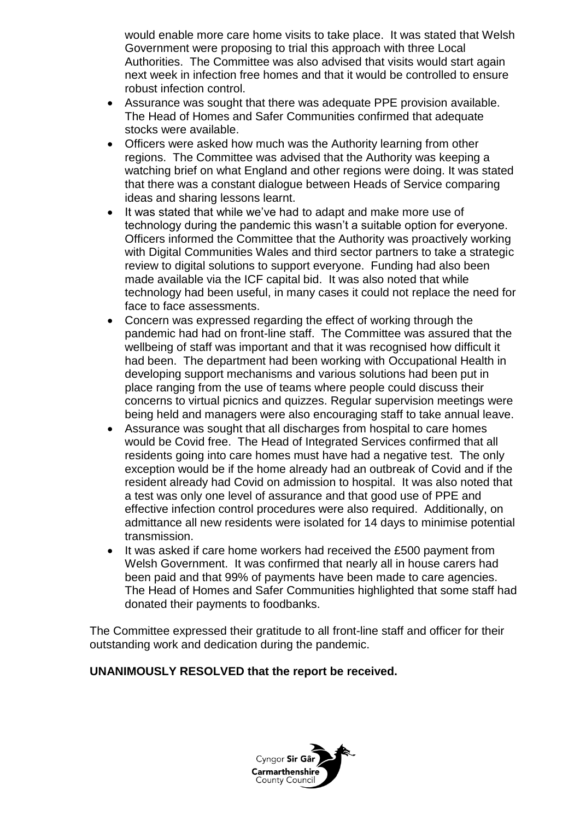would enable more care home visits to take place. It was stated that Welsh Government were proposing to trial this approach with three Local Authorities. The Committee was also advised that visits would start again next week in infection free homes and that it would be controlled to ensure robust infection control.

- Assurance was sought that there was adequate PPE provision available. The Head of Homes and Safer Communities confirmed that adequate stocks were available.
- Officers were asked how much was the Authority learning from other regions. The Committee was advised that the Authority was keeping a watching brief on what England and other regions were doing. It was stated that there was a constant dialogue between Heads of Service comparing ideas and sharing lessons learnt.
- It was stated that while we've had to adapt and make more use of technology during the pandemic this wasn't a suitable option for everyone. Officers informed the Committee that the Authority was proactively working with Digital Communities Wales and third sector partners to take a strategic review to digital solutions to support everyone. Funding had also been made available via the ICF capital bid. It was also noted that while technology had been useful, in many cases it could not replace the need for face to face assessments.
- Concern was expressed regarding the effect of working through the pandemic had had on front-line staff. The Committee was assured that the wellbeing of staff was important and that it was recognised how difficult it had been. The department had been working with Occupational Health in developing support mechanisms and various solutions had been put in place ranging from the use of teams where people could discuss their concerns to virtual picnics and quizzes. Regular supervision meetings were being held and managers were also encouraging staff to take annual leave.
- Assurance was sought that all discharges from hospital to care homes would be Covid free. The Head of Integrated Services confirmed that all residents going into care homes must have had a negative test. The only exception would be if the home already had an outbreak of Covid and if the resident already had Covid on admission to hospital. It was also noted that a test was only one level of assurance and that good use of PPE and effective infection control procedures were also required. Additionally, on admittance all new residents were isolated for 14 days to minimise potential transmission.
- It was asked if care home workers had received the £500 payment from Welsh Government. It was confirmed that nearly all in house carers had been paid and that 99% of payments have been made to care agencies. The Head of Homes and Safer Communities highlighted that some staff had donated their payments to foodbanks.

The Committee expressed their gratitude to all front-line staff and officer for their outstanding work and dedication during the pandemic.

# **UNANIMOUSLY RESOLVED that the report be received.**